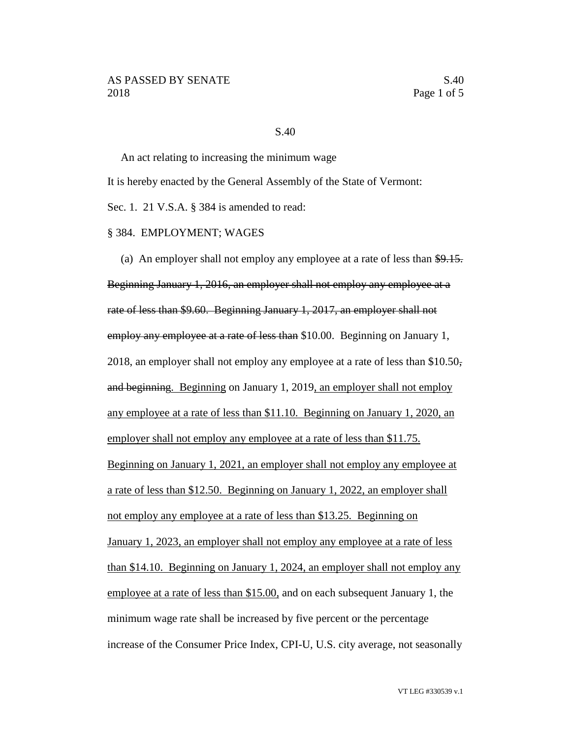## S.40

An act relating to increasing the minimum wage It is hereby enacted by the General Assembly of the State of Vermont: Sec. 1. 21 V.S.A. § 384 is amended to read:

## § 384. EMPLOYMENT; WAGES

(a) An employer shall not employ any employee at a rate of less than  $$9.15$ . Beginning January 1, 2016, an employer shall not employ any employee at a rate of less than \$9.60. Beginning January 1, 2017, an employer shall not employ any employee at a rate of less than \$10.00. Beginning on January 1, 2018, an employer shall not employ any employee at a rate of less than  $$10.50<sub>5</sub>$ and beginning. Beginning on January 1, 2019, an employer shall not employ any employee at a rate of less than \$11.10. Beginning on January 1, 2020, an employer shall not employ any employee at a rate of less than \$11.75. Beginning on January 1, 2021, an employer shall not employ any employee at a rate of less than \$12.50. Beginning on January 1, 2022, an employer shall not employ any employee at a rate of less than \$13.25. Beginning on January 1, 2023, an employer shall not employ any employee at a rate of less than \$14.10. Beginning on January 1, 2024, an employer shall not employ any employee at a rate of less than \$15.00, and on each subsequent January 1, the minimum wage rate shall be increased by five percent or the percentage increase of the Consumer Price Index, CPI-U, U.S. city average, not seasonally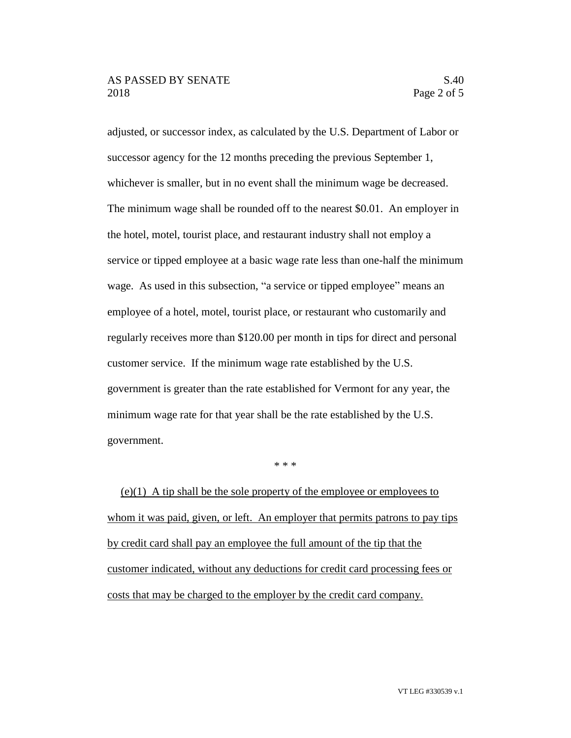adjusted, or successor index, as calculated by the U.S. Department of Labor or successor agency for the 12 months preceding the previous September 1, whichever is smaller, but in no event shall the minimum wage be decreased. The minimum wage shall be rounded off to the nearest \$0.01. An employer in the hotel, motel, tourist place, and restaurant industry shall not employ a service or tipped employee at a basic wage rate less than one-half the minimum wage. As used in this subsection, "a service or tipped employee" means an employee of a hotel, motel, tourist place, or restaurant who customarily and regularly receives more than \$120.00 per month in tips for direct and personal customer service. If the minimum wage rate established by the U.S. government is greater than the rate established for Vermont for any year, the minimum wage rate for that year shall be the rate established by the U.S. government.

\* \* \*

 $(e)(1)$  A tip shall be the sole property of the employee or employees to whom it was paid, given, or left. An employer that permits patrons to pay tips by credit card shall pay an employee the full amount of the tip that the customer indicated, without any deductions for credit card processing fees or costs that may be charged to the employer by the credit card company.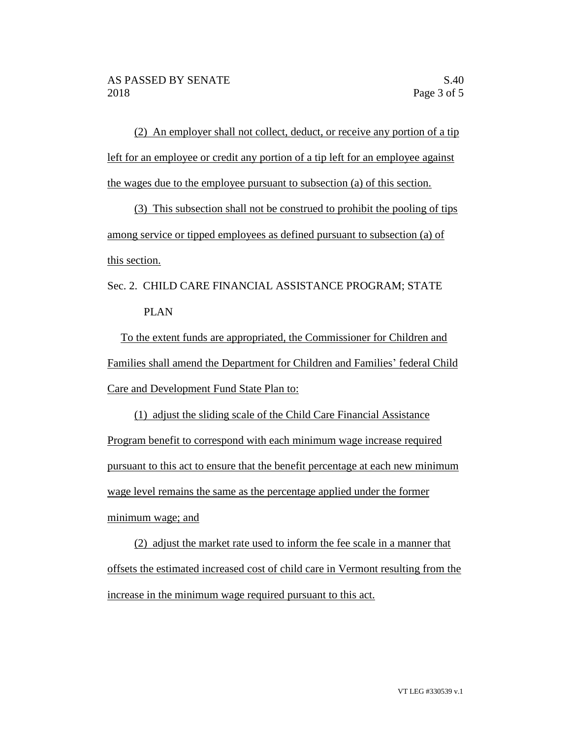(2) An employer shall not collect, deduct, or receive any portion of a tip left for an employee or credit any portion of a tip left for an employee against the wages due to the employee pursuant to subsection (a) of this section.

(3) This subsection shall not be construed to prohibit the pooling of tips among service or tipped employees as defined pursuant to subsection (a) of this section.

## Sec. 2. CHILD CARE FINANCIAL ASSISTANCE PROGRAM; STATE PLAN

To the extent funds are appropriated, the Commissioner for Children and Families shall amend the Department for Children and Families' federal Child Care and Development Fund State Plan to:

(1) adjust the sliding scale of the Child Care Financial Assistance Program benefit to correspond with each minimum wage increase required pursuant to this act to ensure that the benefit percentage at each new minimum wage level remains the same as the percentage applied under the former minimum wage; and

(2) adjust the market rate used to inform the fee scale in a manner that offsets the estimated increased cost of child care in Vermont resulting from the increase in the minimum wage required pursuant to this act.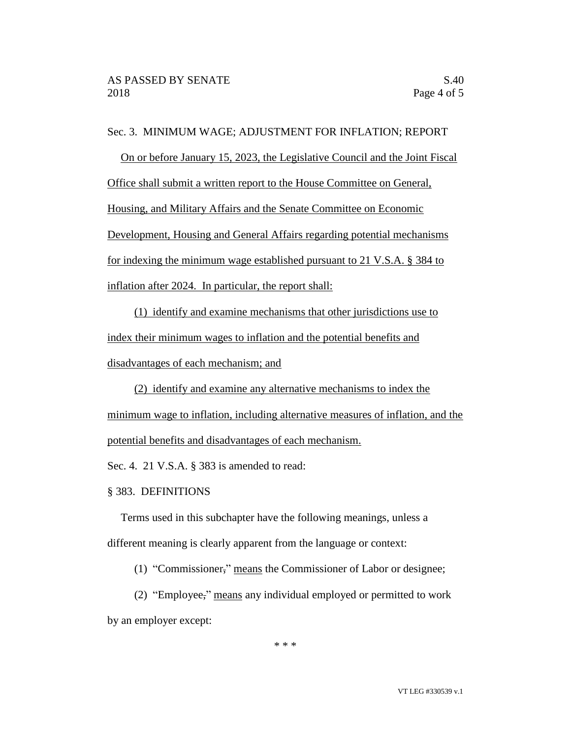## Sec. 3. MINIMUM WAGE; ADJUSTMENT FOR INFLATION; REPORT

On or before January 15, 2023, the Legislative Council and the Joint Fiscal Office shall submit a written report to the House Committee on General, Housing, and Military Affairs and the Senate Committee on Economic Development, Housing and General Affairs regarding potential mechanisms for indexing the minimum wage established pursuant to 21 V.S.A. § 384 to inflation after 2024. In particular, the report shall:

(1) identify and examine mechanisms that other jurisdictions use to index their minimum wages to inflation and the potential benefits and disadvantages of each mechanism; and

(2) identify and examine any alternative mechanisms to index the minimum wage to inflation, including alternative measures of inflation, and the potential benefits and disadvantages of each mechanism.

Sec. 4. 21 V.S.A. § 383 is amended to read:

§ 383. DEFINITIONS

Terms used in this subchapter have the following meanings, unless a different meaning is clearly apparent from the language or context:

(1) "Commissioner," means the Commissioner of Labor or designee;

(2) "Employee," means any individual employed or permitted to work by an employer except:

\* \* \*